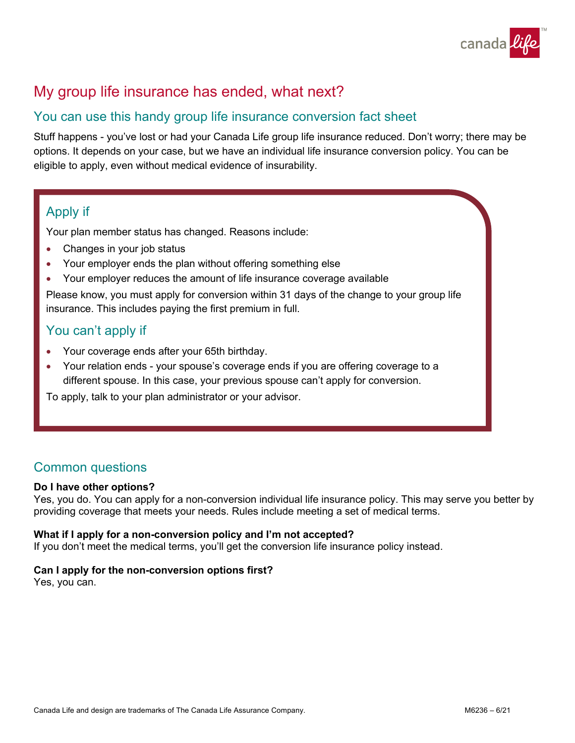

# My group life insurance has ended, what next?

## You can use this handy group life insurance conversion fact sheet

Stuff happens - you've lost or had your Canada Life group life insurance reduced. Don't worry; there may be options. It depends on your case, but we have an individual life insurance conversion policy. You can be eligible to apply, even without medical evidence of insurability.

## Apply if

Your plan member status has changed. Reasons include:

- Changes in your job status
- Your employer ends the plan without offering something else
- Your employer reduces the amount of life insurance coverage available

Please know, you must apply for conversion within 31 days of the change to your group life insurance. This includes paying the first premium in full.

## You can't apply if

- Your coverage ends after your 65th birthday.
- Your relation ends your spouse's coverage ends if you are offering coverage to a different spouse. In this case, your previous spouse can't apply for conversion.

To apply, talk to your plan administrator or your advisor.

## Common questions

#### **Do I have other options?**

Yes, you do. You can apply for a non-conversion individual life insurance policy. This may serve you better by providing coverage that meets your needs. Rules include meeting a set of medical terms.

#### **What if I apply for a non-conversion policy and I'm not accepted?**

If you don't meet the medical terms, you'll get the conversion life insurance policy instead.

#### **Can I apply for the non-conversion options first?**

Yes, you can.